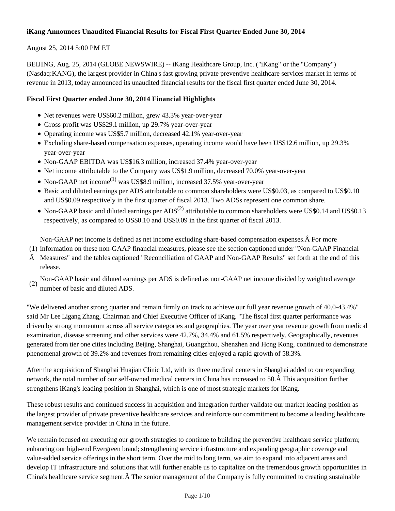## **iKang Announces Unaudited Financial Results for Fiscal First Quarter Ended June 30, 2014**

## August 25, 2014 5:00 PM ET

BEIJING, Aug. 25, 2014 (GLOBE NEWSWIRE) -- iKang Healthcare Group, Inc. ("iKang" or the "Company") (Nasdaq:KANG), the largest provider in China's fast growing private preventive healthcare services market in terms of revenue in 2013, today announced its unaudited financial results for the fiscal first quarter ended June 30, 2014.

## **Fiscal First Quarter ended June 30, 2014 Financial Highlights**

- Net revenues were US\$60.2 million, grew 43.3% year-over-year
- Gross profit was US\$29.1 million, up 29.7% year-over-year
- Operating income was US\$5.7 million, decreased 42.1% year-over-year
- Excluding share-based compensation expenses, operating income would have been US\$12.6 million, up 29.3% year-over-year
- Non-GAAP EBITDA was US\$16.3 million, increased 37.4% year-over-year
- Net income attributable to the Company was US\$1.9 million, decreased 70.0% year-over-year
- Non-GAAP net income<sup>(1)</sup> was US\$8.9 million, increased 37.5% year-over-year
- Basic and diluted earnings per ADS attributable to common shareholders were US\$0.03, as compared to US\$0.10 and US\$0.09 respectively in the first quarter of fiscal 2013. Two ADSs represent one common share.
- Non-GAAP basic and diluted earnings per  $ADS^{(2)}$  attributable to common shareholders were US\$0.14 and US\$0.13 respectively, as compared to US\$0.10 and US\$0.09 in the first quarter of fiscal 2013.

Non-GAAP net income is defined as net income excluding share-based compensation expenses.  $\hat{A}$  For more

- (1) information on these non-GAAP financial measures, please see the section captioned under "Non-GAAP Financial
- $\hat{A}$  Measures" and the tables captioned "Reconciliation of GAAP and Non-GAAP Results" set forth at the end of this release.

(2) Non-GAAP basic and diluted earnings per ADS is defined as non-GAAP net income divided by weighted average number of basic and diluted ADS.

"We delivered another strong quarter and remain firmly on track to achieve our full year revenue growth of 40.0-43.4%" said Mr Lee Ligang Zhang, Chairman and Chief Executive Officer of iKang. "The fiscal first quarter performance was driven by strong momentum across all service categories and geographies. The year over year revenue growth from medical examination, disease screening and other services were 42.7%, 34.4% and 61.5% respectively. Geographically, revenues generated from tier one cities including Beijing, Shanghai, Guangzhou, Shenzhen and Hong Kong, continued to demonstrate phenomenal growth of 39.2% and revenues from remaining cities enjoyed a rapid growth of 58.3%.

After the acquisition of Shanghai Huajian Clinic Ltd, with its three medical centers in Shanghai added to our expanding network, the total number of our self-owned medical centers in China has increased to 50. Â This acquisition further strengthens iKang's leading position in Shanghai, which is one of most strategic markets for iKang.

These robust results and continued success in acquisition and integration further validate our market leading position as the largest provider of private preventive healthcare services and reinforce our commitment to become a leading healthcare management service provider in China in the future.

We remain focused on executing our growth strategies to continue to building the preventive healthcare service platform; enhancing our high-end Evergreen brand; strengthening service infrastructure and expanding geographic coverage and value-added service offerings in the short term. Over the mid to long term, we aim to expand into adjacent areas and develop IT infrastructure and solutions that will further enable us to capitalize on the tremendous growth opportunities in China's healthcare service segment. A The senior management of the Company is fully committed to creating sustainable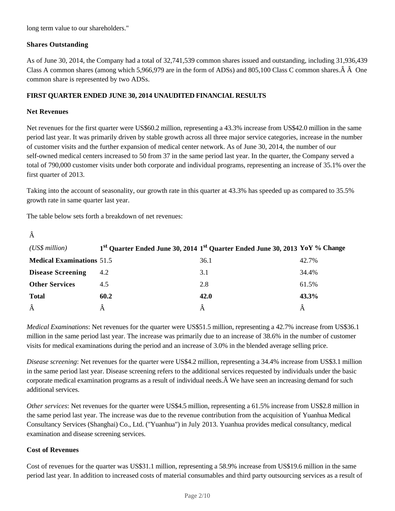long term value to our shareholders."

## **Shares Outstanding**

As of June 30, 2014, the Company had a total of 32,741,539 common shares issued and outstanding, including 31,936,439 Class A common shares (among which 5,966,979 are in the form of ADSs) and 805,100 Class C common shares.  $\hat{A}$   $\hat{A}$  One common share is represented by two ADSs.

## **FIRST QUARTER ENDED JUNE 30, 2014 UNAUDITED FINANCIAL RESULTS**

### **Net Revenues**

Â

Net revenues for the first quarter were US\$60.2 million, representing a 43.3% increase from US\$42.0 million in the same period last year. It was primarily driven by stable growth across all three major service categories, increase in the number of customer visits and the further expansion of medical center network. As of June 30, 2014, the number of our self-owned medical centers increased to 50 from 37 in the same period last year. In the quarter, the Company served a total of 790,000 customer visits under both corporate and individual programs, representing an increase of 35.1% over the first quarter of 2013.

Taking into the account of seasonality, our growth rate in this quarter at 43.3% has speeded up as compared to 35.5% growth rate in same quarter last year.

The table below sets forth a breakdown of net revenues:

| $(US\$ s million                 |      | 1 <sup>st</sup> Quarter Ended June 30, 2014 1 <sup>st</sup> Quarter Ended June 30, 2013 YoY % Change |       |
|----------------------------------|------|------------------------------------------------------------------------------------------------------|-------|
| <b>Medical Examinations 51.5</b> |      | 36.1                                                                                                 | 42.7% |
| <b>Disease Screening</b>         | 4.2  | 3.1                                                                                                  | 34.4% |
| <b>Other Services</b>            | 4.5  | 2.8                                                                                                  | 61.5% |
| <b>Total</b>                     | 60.2 | 42.0                                                                                                 | 43.3% |
| Â                                |      |                                                                                                      |       |

*Medical Examinations*: Net revenues for the quarter were US\$51.5 million, representing a 42.7% increase from US\$36.1 million in the same period last year. The increase was primarily due to an increase of 38.6% in the number of customer visits for medical examinations during the period and an increase of 3.0% in the blended average selling price.

*Disease screening*: Net revenues for the quarter were US\$4.2 million, representing a 34.4% increase from US\$3.1 million in the same period last year. Disease screening refers to the additional services requested by individuals under the basic corporate medical examination programs as a result of individual needs. We have seen an increasing demand for such additional services.

*Other services*: Net revenues for the quarter were US\$4.5 million, representing a 61.5% increase from US\$2.8 million in the same period last year. The increase was due to the revenue contribution from the acquisition of Yuanhua Medical Consultancy Services (Shanghai) Co., Ltd. ("Yuanhua") in July 2013. Yuanhua provides medical consultancy, medical examination and disease screening services.

### **Cost of Revenues**

Cost of revenues for the quarter was US\$31.1 million, representing a 58.9% increase from US\$19.6 million in the same period last year. In addition to increased costs of material consumables and third party outsourcing services as a result of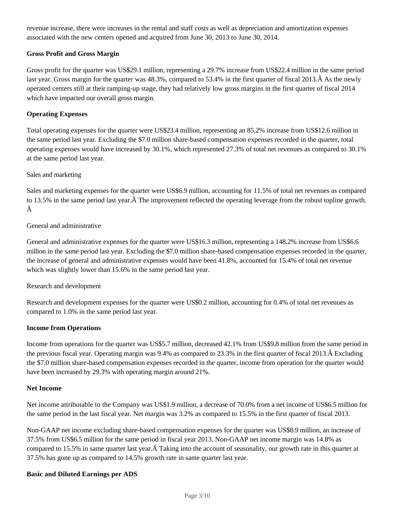revenue increase, there were increases in the rental and staff costs as well as depreciation and amortization expenses associated with the new centers opened and acquired from June 30, 2013 to June 30, 2014.

## **Gross Profit and Gross Margin**

Gross profit for the quarter was US\$29.1 million, representing a 29.7% increase from US\$22.4 million in the same period last year. Gross margin for the quarter was 48.3%, compared to 53.4% in the first quarter of fiscal 2013. A As the newly operated centers still at their ramping-up stage, they had relatively low gross margins in the first quarter of fiscal 2014 which have impacted our overall gross margin.

### **Operating Expenses**

Total operating expenses for the quarter were US\$23.4 million, representing an 85.2% increase from US\$12.6 million in the same period last year. Excluding the \$7.0 million share-based compensation expenses recorded in the quarter, total operating expenses would have increased by 30.1%, which represented 27.3% of total net revenues as compared to 30.1% at the same period last year.

### Sales and marketing

Sales and marketing expenses for the quarter were US\$6.9 million, accounting for 11.5% of total net revenues as compared to 13.5% in the same period last year. $\hat{A}$  The improvement reflected the operating leverage from the robust topline growth. Â

## General and administrative

General and administrative expenses for the quarter were US\$16.3 million, representing a 148.2% increase from US\$6.6 million in the same period last year. Excluding the \$7.0 million share-based compensation expenses recorded in the quarter, the increase of general and administrative expenses would have been 41.8%, accounted for 15.4% of total net revenue which was slightly lower than 15.6% in the same period last year.

### Research and development

Research and development expenses for the quarter were US\$0.2 million, accounting for 0.4% of total net revenues as compared to 1.0% in the same period last year.

### **Income from Operations**

Income from operations for the quarter was US\$5.7 million, decreased 42.1% from US\$9.8 million from the same period in the previous fiscal year. Operating margin was  $9.4\%$  as compared to 23.3% in the first quarter of fiscal 2013. $\hat{A}$  Excluding the \$7.0 million share-based compensation expenses recorded in the quarter, income from operation for the quarter would have been increased by 29.3% with operating margin around 21%.

### **Net Income**

Net income attributable to the Company was US\$1.9 million, a decrease of 70.0% from a net income of US\$6.5 million for the same period in the last fiscal year. Net margin was 3.2% as compared to 15.5% in the first quarter of fiscal 2013.

Non-GAAP net income excluding share-based compensation expenses for the quarter was US\$8.9 million, an increase of 37.5% from US\$6.5 million for the same period in fiscal year 2013. Non-GAAP net income margin was 14.8% as compared to 15.5% in same quarter last year.  $\hat{A}$  Taking into the account of seasonality, our growth rate in this quarter at 37.5% has gone up as compared to 14.5% growth rate in same quarter last year.

### **Basic and Diluted Earnings per ADS**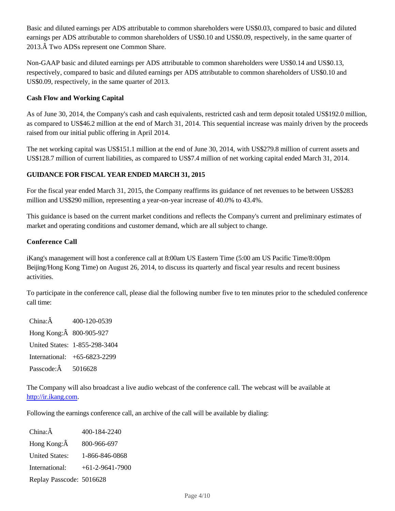Basic and diluted earnings per ADS attributable to common shareholders were US\$0.03, compared to basic and diluted earnings per ADS attributable to common shareholders of US\$0.10 and US\$0.09, respectively, in the same quarter of 2013. Two ADSs represent one Common Share.

Non-GAAP basic and diluted earnings per ADS attributable to common shareholders were US\$0.14 and US\$0.13, respectively, compared to basic and diluted earnings per ADS attributable to common shareholders of US\$0.10 and US\$0.09, respectively, in the same quarter of 2013.

## **Cash Flow and Working Capital**

As of June 30, 2014, the Company's cash and cash equivalents, restricted cash and term deposit totaled US\$192.0 million, as compared to US\$46.2 million at the end of March 31, 2014. This sequential increase was mainly driven by the proceeds raised from our initial public offering in April 2014.

The net working capital was US\$151.1 million at the end of June 30, 2014, with US\$279.8 million of current assets and US\$128.7 million of current liabilities, as compared to US\$7.4 million of net working capital ended March 31, 2014.

## **GUIDANCE FOR FISCAL YEAR ENDED MARCH 31, 2015**

For the fiscal year ended March 31, 2015, the Company reaffirms its guidance of net revenues to be between US\$283 million and US\$290 million, representing a year-on-year increase of 40.0% to 43.4%.

This guidance is based on the current market conditions and reflects the Company's current and preliminary estimates of market and operating conditions and customer demand, which are all subject to change.

### **Conference Call**

iKang's management will host a conference call at 8:00am US Eastern Time (5:00 am US Pacific Time/8:00pm Beijing/Hong Kong Time) on August 26, 2014, to discuss its quarterly and fiscal year results and recent business activities.

To participate in the conference call, please dial the following number five to ten minutes prior to the scheduled conference call time:

China:Â 400-120-0539 Hong Kong:Â 800-905-927 United States: 1-855-298-3404 International: +65-6823-2299 Passcode:Â 5016628

The Company will also broadcast a live audio webcast of the conference call. The webcast will be available at http://ir.ikang.com.

Following the earnings conference call, an archive of the call will be available by dialing:

China:Â 400-184-2240 Hong Kong:Â 800-966-697 United States: 1-866-846-0868 International: +61-2-9641-7900 Replay Passcode: 5016628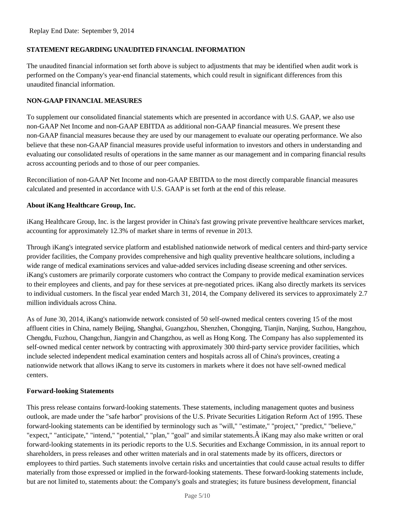## **STATEMENT REGARDING UNAUDITED FINANCIAL INFORMATION**

The unaudited financial information set forth above is subject to adjustments that may be identified when audit work is performed on the Company's year-end financial statements, which could result in significant differences from this unaudited financial information.

## **NON-GAAP FINANCIAL MEASURES**

To supplement our consolidated financial statements which are presented in accordance with U.S. GAAP, we also use non-GAAP Net Income and non-GAAP EBITDA as additional non-GAAP financial measures. We present these non-GAAP financial measures because they are used by our management to evaluate our operating performance. We also believe that these non-GAAP financial measures provide useful information to investors and others in understanding and evaluating our consolidated results of operations in the same manner as our management and in comparing financial results across accounting periods and to those of our peer companies.

Reconciliation of non-GAAP Net Income and non-GAAP EBITDA to the most directly comparable financial measures calculated and presented in accordance with U.S. GAAP is set forth at the end of this release.

## **About iKang Healthcare Group, Inc.**

iKang Healthcare Group, Inc. is the largest provider in China's fast growing private preventive healthcare services market, accounting for approximately 12.3% of market share in terms of revenue in 2013.

Through iKang's integrated service platform and established nationwide network of medical centers and third-party service provider facilities, the Company provides comprehensive and high quality preventive healthcare solutions, including a wide range of medical examinations services and value-added services including disease screening and other services. iKang's customers are primarily corporate customers who contract the Company to provide medical examination services to their employees and clients, and pay for these services at pre-negotiated prices. iKang also directly markets its services to individual customers. In the fiscal year ended March 31, 2014, the Company delivered its services to approximately 2.7 million individuals across China.

As of June 30, 2014, iKang's nationwide network consisted of 50 self-owned medical centers covering 15 of the most affluent cities in China, namely Beijing, Shanghai, Guangzhou, Shenzhen, Chongqing, Tianjin, Nanjing, Suzhou, Hangzhou, Chengdu, Fuzhou, Changchun, Jiangyin and Changzhou, as well as Hong Kong. The Company has also supplemented its self-owned medical center network by contracting with approximately 300 third-party service provider facilities, which include selected independent medical examination centers and hospitals across all of China's provinces, creating a nationwide network that allows iKang to serve its customers in markets where it does not have self-owned medical centers.

### **Forward-looking Statements**

This press release contains forward-looking statements. These statements, including management quotes and business outlook, are made under the "safe harbor" provisions of the U.S. Private Securities Litigation Reform Act of 1995. These forward-looking statements can be identified by terminology such as "will," "estimate," "project," "predict," "believe," "expect," "anticipate," "intend," "potential," "plan," "goal" and similar statements.  $\hat{A}$  iKang may also make written or oral forward-looking statements in its periodic reports to the U.S. Securities and Exchange Commission, in its annual report to shareholders, in press releases and other written materials and in oral statements made by its officers, directors or employees to third parties. Such statements involve certain risks and uncertainties that could cause actual results to differ materially from those expressed or implied in the forward-looking statements. These forward-looking statements include, but are not limited to, statements about: the Company's goals and strategies; its future business development, financial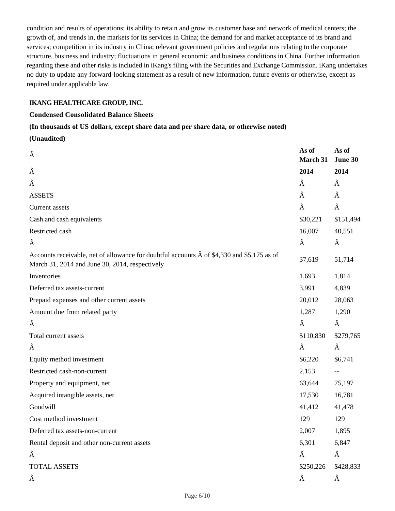condition and results of operations; its ability to retain and grow its customer base and network of medical centers; the growth of, and trends in, the markets for its services in China; the demand for and market acceptance of its brand and services; competition in its industry in China; relevant government policies and regulations relating to the corporate structure, business and industry; fluctuations in general economic and business conditions in China. Further information regarding these and other risks is included in iKang's filing with the Securities and Exchange Commission. iKang undertakes no duty to update any forward-looking statement as a result of new information, future events or otherwise, except as required under applicable law.

## **IKANG HEALTHCARE GROUP, INC.**

## **Condensed Consolidated Balance Sheets**

### **(In thousands of US dollars, except share data and per share data, or otherwise noted)**

**(Unaudited)**

| Â                                                                                                                                                    | As of<br>March 31 | As of<br>June 30 |
|------------------------------------------------------------------------------------------------------------------------------------------------------|-------------------|------------------|
| Â                                                                                                                                                    | 2014              | 2014             |
| Â                                                                                                                                                    | Â                 | Â                |
| <b>ASSETS</b>                                                                                                                                        | Â                 | Â                |
| Current assets                                                                                                                                       | Â                 | Â                |
| Cash and cash equivalents                                                                                                                            | \$30,221          | \$151,494        |
| Restricted cash                                                                                                                                      | 16,007            | 40,551           |
| Â                                                                                                                                                    | Â                 | Â                |
| Accounts receivable, net of allowance for doubtful accounts $\hat{A}$ of \$4,330 and \$5,175 as of<br>March 31, 2014 and June 30, 2014, respectively | 37,619            | 51,714           |
| Inventories                                                                                                                                          | 1,693             | 1,814            |
| Deferred tax assets-current                                                                                                                          | 3,991             | 4,839            |
| Prepaid expenses and other current assets                                                                                                            | 20,012            | 28,063           |
| Amount due from related party                                                                                                                        | 1,287             | 1,290            |
| Â                                                                                                                                                    | Â                 | Â                |
| Total current assets                                                                                                                                 | \$110,830         | \$279,765        |
| Â                                                                                                                                                    | Â                 | Â                |
| Equity method investment                                                                                                                             | \$6,220           | \$6,741          |
| Restricted cash-non-current                                                                                                                          | 2,153             | --               |
| Property and equipment, net                                                                                                                          | 63,644            | 75,197           |
| Acquired intangible assets, net                                                                                                                      | 17,530            | 16,781           |
| Goodwill                                                                                                                                             | 41,412            | 41,478           |
| Cost method investment                                                                                                                               | 129               | 129              |
| Deferred tax assets-non-current                                                                                                                      | 2,007             | 1,895            |
| Rental deposit and other non-current assets                                                                                                          | 6,301             | 6,847            |
| Â                                                                                                                                                    | Â                 | Â                |
| TOTAL ASSETS                                                                                                                                         | \$250,226         | \$428,833        |
| Â                                                                                                                                                    | Â                 | Â                |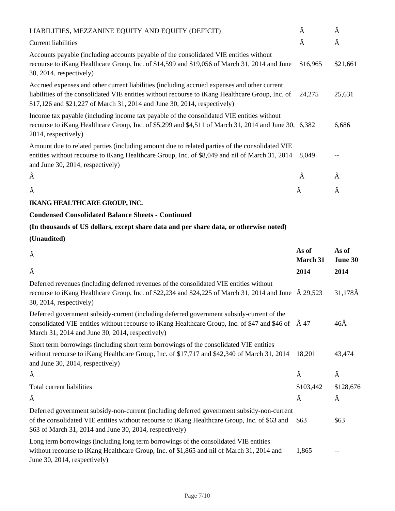| LIABILITIES, MEZZANINE EQUITY AND EQUITY (DEFICIT)                                                                                                                                                                                                                           | Â        | Â        |
|------------------------------------------------------------------------------------------------------------------------------------------------------------------------------------------------------------------------------------------------------------------------------|----------|----------|
| <b>Current liabilities</b>                                                                                                                                                                                                                                                   | Â        | Â        |
| Accounts payable (including accounts payable of the consolidated VIE entities without<br>recourse to iKang Healthcare Group, Inc. of \$14,599 and \$19,056 of March 31, 2014 and June<br>$30, 2014$ , respectively)                                                          | \$16,965 | \$21,661 |
| Accrued expenses and other current liabilities (including accrued expenses and other current<br>liabilities of the consolidated VIE entities without recourse to iKang Healthcare Group, Inc. of<br>\$17,126 and \$21,227 of March 31, 2014 and June 30, 2014, respectively) | 24,275   | 25,631   |
| Income tax payable (including income tax payable of the consolidated VIE entities without<br>recourse to iKang Healthcare Group, Inc. of \$5,299 and \$4,511 of March 31, 2014 and June 30, 6,382<br>2014, respectively)                                                     |          | 6,686    |
| Amount due to related parties (including amount due to related parties of the consolidated VIE<br>entities without recourse to iKang Healthcare Group, Inc. of \$8,049 and nil of March 31, 2014<br>and June 30, 2014, respectively)                                         | 8.049    |          |
| Â                                                                                                                                                                                                                                                                            | Â        | Â        |
| Â                                                                                                                                                                                                                                                                            | Â        | Â        |

# **IKANG HEALTHCARE GROUP, INC.**

## **Condensed Consolidated Balance Sheets - Continued**

## **(In thousands of US dollars, except share data and per share data, or otherwise noted)**

## **(Unaudited)**

| Â                                                                                                                                                                                                                                                           | As of<br><b>March 31</b> | As of<br>June 30 |
|-------------------------------------------------------------------------------------------------------------------------------------------------------------------------------------------------------------------------------------------------------------|--------------------------|------------------|
| Â                                                                                                                                                                                                                                                           | 2014                     | 2014             |
| Deferred revenues (including deferred revenues of the consolidated VIE entities without<br>recourse to iKang Healthcare Group, Inc. of \$22,234 and \$24,225 of March 31, 2014 and June $\hat{A}$ 29,523<br>30, 2014, respectively)                         |                          | $31,178\AA$      |
| Deferred government subsidy-current (including deferred government subsidy-current of the<br>consolidated VIE entities without recourse to iKang Healthcare Group, Inc. of \$47 and \$46 of $\hat{A}$ 47<br>March 31, 2014 and June 30, 2014, respectively) |                          | $46\hat{A}$      |
| Short term borrowings (including short term borrowings of the consolidated VIE entities<br>without recourse to iKang Healthcare Group, Inc. of \$17,717 and \$42,340 of March 31, 2014<br>and June 30, 2014, respectively)                                  | 18,201                   | 43,474           |
| Â                                                                                                                                                                                                                                                           | Â                        | Â                |
| Total current liabilities                                                                                                                                                                                                                                   | \$103,442                | \$128,676        |
| Â                                                                                                                                                                                                                                                           | Â                        | Â                |
| Deferred government subsidy-non-current (including deferred government subsidy-non-current<br>of the consolidated VIE entities without recourse to iKang Healthcare Group, Inc. of \$63 and<br>\$63 of March 31, 2014 and June 30, 2014, respectively)      | \$63                     | \$63             |
| Long term borrowings (including long term borrowings of the consolidated VIE entities<br>without recourse to iKang Healthcare Group, Inc. of \$1,865 and nil of March 31, 2014 and<br>June 30, 2014, respectively)                                          | 1,865                    |                  |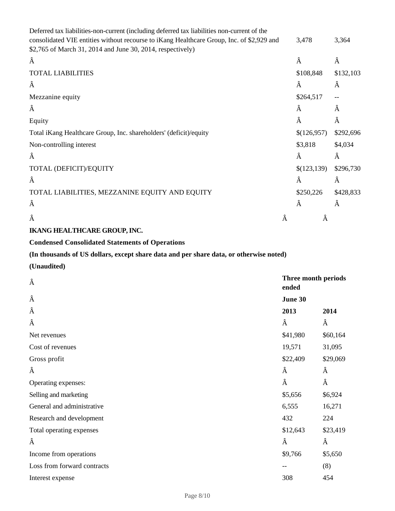| Deferred tax liabilities-non-current (including deferred tax liabilities non-current of the                                                             |   |             |           |
|---------------------------------------------------------------------------------------------------------------------------------------------------------|---|-------------|-----------|
| consolidated VIE entities without recourse to iKang Healthcare Group, Inc. of \$2,929 and<br>\$2,765 of March 31, 2014 and June 30, 2014, respectively) |   | 3,478       | 3,364     |
| Â                                                                                                                                                       |   | Â           | Â         |
| <b>TOTAL LIABILITIES</b>                                                                                                                                |   | \$108,848   | \$132,103 |
| Â                                                                                                                                                       |   | Â           | Â         |
| Mezzanine equity                                                                                                                                        |   | \$264,517   | $-$       |
| Â                                                                                                                                                       |   | Â           | Â         |
| Equity                                                                                                                                                  |   | Â           | Â         |
| Total iKang Healthcare Group, Inc. shareholders' (deficit)/equity                                                                                       |   | \$(126,957) | \$292,696 |
| Non-controlling interest                                                                                                                                |   | \$3,818     | \$4,034   |
| Â                                                                                                                                                       |   | Â           | Â         |
| TOTAL (DEFICIT)/EQUITY                                                                                                                                  |   | \$(123,139) | \$296,730 |
| Â                                                                                                                                                       |   | Â           | Â         |
| TOTAL LIABILITIES, MEZZANINE EQUITY AND EQUITY                                                                                                          |   | \$250,226   | \$428,833 |
| Â                                                                                                                                                       |   | Â           | Â         |
| Â                                                                                                                                                       | Â | Â           |           |

# **IKANG HEALTHCARE GROUP, INC.**

# **Condensed Consolidated Statements of Operations**

# **(In thousands of US dollars, except share data and per share data, or otherwise noted)**

## **(Unaudited)**

| Â                           | Three month periods<br>ended |          |
|-----------------------------|------------------------------|----------|
| Â                           | June 30                      |          |
| Â                           | 2013                         | 2014     |
| Â                           | Â                            | Â        |
| Net revenues                | \$41,980                     | \$60,164 |
| Cost of revenues            | 19,571                       | 31,095   |
| Gross profit                | \$22,409                     | \$29,069 |
| Â                           | Â                            | Â        |
| Operating expenses:         | Â                            | Â        |
| Selling and marketing       | \$5,656                      | \$6,924  |
| General and administrative  | 6,555                        | 16,271   |
| Research and development    | 432                          | 224      |
| Total operating expenses    | \$12,643                     | \$23,419 |
| Â                           | Â                            | Â        |
| Income from operations      | \$9,766                      | \$5,650  |
| Loss from forward contracts | --                           | (8)      |
| Interest expense            | 308                          | 454      |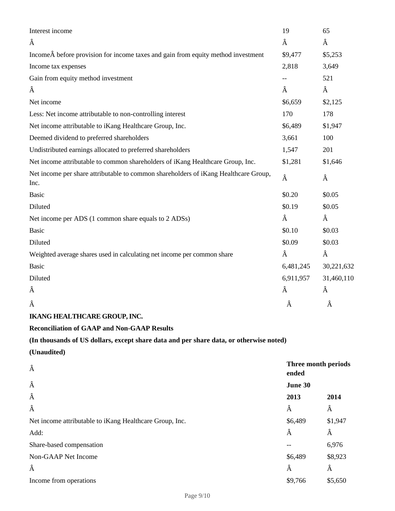| Interest income                                                                             | 19                           | 65         |  |
|---------------------------------------------------------------------------------------------|------------------------------|------------|--|
| Â                                                                                           | Â                            | Â          |  |
| Income before provision for income taxes and gain from equity method investment             | \$9,477                      | \$5,253    |  |
| Income tax expenses                                                                         | 2,818                        | 3,649      |  |
| Gain from equity method investment                                                          |                              | 521        |  |
| Â                                                                                           | Â                            | Â          |  |
| Net income                                                                                  | \$6,659                      | \$2,125    |  |
| Less: Net income attributable to non-controlling interest                                   | 170                          | 178        |  |
| Net income attributable to iKang Healthcare Group, Inc.                                     | \$6,489                      | \$1,947    |  |
| Deemed dividend to preferred shareholders                                                   | 3,661                        | 100        |  |
| Undistributed earnings allocated to preferred shareholders                                  | 1,547                        | 201        |  |
| Net income attributable to common shareholders of iKang Healthcare Group, Inc.              | \$1,281                      | \$1,646    |  |
| Net income per share attributable to common shareholders of iKang Healthcare Group,<br>Inc. | Â                            | Â          |  |
| <b>Basic</b>                                                                                | \$0.20                       | \$0.05     |  |
| Diluted                                                                                     | \$0.19                       | \$0.05     |  |
| Net income per ADS (1 common share equals to 2 ADSs)                                        | Â                            | Â          |  |
| <b>Basic</b>                                                                                | \$0.10                       | \$0.03     |  |
| Diluted                                                                                     | \$0.09                       | \$0.03     |  |
| Weighted average shares used in calculating net income per common share                     | Â                            | Â          |  |
| <b>Basic</b>                                                                                | 6,481,245                    | 30,221,632 |  |
| Diluted                                                                                     | 6,911,957                    | 31,460,110 |  |
| Â                                                                                           | Â                            | Â          |  |
| Â                                                                                           | Â                            | Â          |  |
| <b>IKANG HEALTHCARE GROUP, INC.</b>                                                         |                              |            |  |
| <b>Reconciliation of GAAP and Non-GAAP Results</b>                                          |                              |            |  |
| (In thousands of US dollars, except share data and per share data, or otherwise noted)      |                              |            |  |
| (Unaudited)                                                                                 |                              |            |  |
| Â                                                                                           | Three month periods<br>ended |            |  |
| Â                                                                                           | June 30                      |            |  |
| Â                                                                                           | 2013                         | 2014       |  |
| Â                                                                                           | Â                            | Â          |  |
| Net income attributable to iKang Healthcare Group, Inc.                                     | \$6,489                      | \$1,947    |  |
| Add:                                                                                        | Â                            | Â          |  |
| Share-based compensation                                                                    |                              | 6,976      |  |
| Non-GAAP Net Income                                                                         | \$6,489                      | \$8,923    |  |
| Â                                                                                           | Â                            | Â          |  |
| Income from operations                                                                      | \$9,766                      | \$5,650    |  |